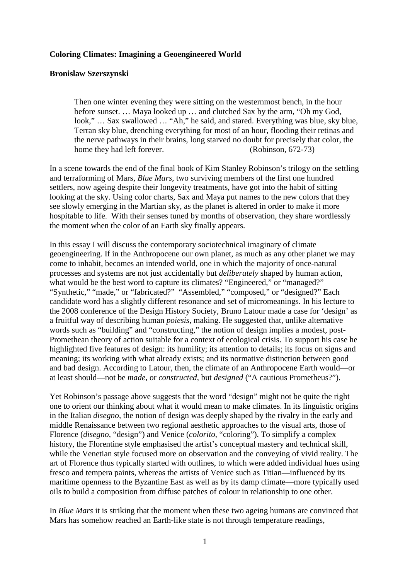## **Coloring Climates: Imagining a Geoengineered World**

#### **Bronislaw Szerszynski**

Then one winter evening they were sitting on the westernmost bench, in the hour before sunset. … Maya looked up … and clutched Sax by the arm, "Oh my God, look," … Sax swallowed … "Ah," he said, and stared. Everything was blue, sky blue, Terran sky blue, drenching everything for most of an hour, flooding their retinas and the nerve pathways in their brains, long starved no doubt for precisely that color, the home they had left forever. [\(Robinson, 672-73\)](#page-8-0)

In a scene towards the end of the final book of Kim Stanley Robinson's trilogy on the settling and terraforming of Mars, *Blue Mars*, two surviving members of the first one hundred settlers, now ageing despite their longevity treatments, have got into the habit of sitting looking at the sky. Using color charts, Sax and Maya put names to the new colors that they see slowly emerging in the Martian sky, as the planet is altered in order to make it more hospitable to life. With their senses tuned by months of observation, they share wordlessly the moment when the color of an Earth sky finally appears.

In this essay I will discuss the contemporary sociotechnical imaginary of climate geoengineering. If in the Anthropocene our own planet, as much as any other planet we may come to inhabit, becomes an intended world, one in which the majority of once-natural processes and systems are not just accidentally but *deliberately* shaped by human action, what would be the best word to capture its climates? "Engineered," or "managed?" "Synthetic," "made," or "fabricated?" "Assembled," "composed," or "designed?" Each candidate word has a slightly different resonance and set of micromeanings. In his lecture to the 2008 conference of the Design History Society, Bruno Latour made a case for 'design' as a fruitful way of describing human *poiesis*, making. He suggested that, unlike alternative words such as "building" and "constructing," the notion of design implies a modest, post-Promethean theory of action suitable for a context of ecological crisis. To support his case he highlighted five features of design: its humility; its attention to details; its focus on signs and meaning; its working with what already exists; and its normative distinction between good and bad design. According to Latour, then, the climate of an Anthropocene Earth would—or at least should—not be *made*, or *constructed*, but *designed* [\("A cautious Prometheus?"\)](#page-7-0).

Yet Robinson's passage above suggests that the word "design" might not be quite the right one to orient our thinking about what it would mean to make climates. In its linguistic origins in the Italian *disegno*, the notion of design was deeply shaped by the rivalry in the early and middle Renaissance between two regional aesthetic approaches to the visual arts, those of Florence (*disegno*, "design") and Venice (*colorito*, "coloring"). To simplify a complex history, the Florentine style emphasised the artist's conceptual mastery and technical skill, while the Venetian style focused more on observation and the conveying of vivid reality. The art of Florence thus typically started with outlines, to which were added individual hues using fresco and tempera paints, whereas the artists of Venice such as Titian—influenced by its maritime openness to the Byzantine East as well as by its damp climate—more typically used oils to build a composition from diffuse patches of colour in relationship to one other.

In *Blue Mars* it is striking that the moment when these two ageing humans are convinced that Mars has somehow reached an Earth-like state is not through temperature readings,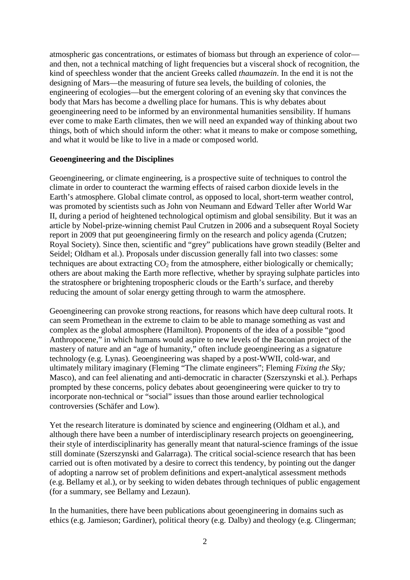atmospheric gas concentrations, or estimates of biomass but through an experience of color and then, not a technical matching of light frequencies but a visceral shock of recognition, the kind of speechless wonder that the ancient Greeks called *thaumazein*. In the end it is not the designing of Mars—the measuring of future sea levels, the building of colonies, the engineering of ecologies—but the emergent coloring of an evening sky that convinces the body that Mars has become a dwelling place for humans. This is why debates about geoengineering need to be informed by an environmental humanities sensibility. If humans ever come to make Earth climates, then we will need an expanded way of thinking about two things, both of which should inform the other: what it means to make or compose something, and what it would be like to live in a made or composed world.

## **Geoengineering and the Disciplines**

Geoengineering, or climate engineering, is a prospective suite of techniques to control the climate in order to counteract the warming effects of raised carbon dioxide levels in the Earth's atmosphere. Global climate control, as opposed to local, short-term weather control, was promoted by scientists such as John von Neumann and Edward Teller after World War II, during a period of heightened technological optimism and global sensibility. But it was an article by Nobel-prize-winning chemist Paul Crutzen in 2006 and a subsequent Royal Society report in 2009 that put geoengineering firmly on the research and policy agenda [\(Crutzen;](#page-7-1) [Royal Society\)](#page-8-1). Since then, scientific and "grey" publications have grown steadily [\(Belter and](#page-7-2)  [Seidel;](#page-7-2) [Oldham et al.\)](#page-8-2). Proposals under discussion generally fall into two classes: some techniques are about extracting  $CO<sub>2</sub>$  from the atmosphere, either biologically or chemically; others are about making the Earth more reflective, whether by spraying sulphate particles into the stratosphere or brightening tropospheric clouds or the Earth's surface, and thereby reducing the amount of solar energy getting through to warm the atmosphere.

Geoengineering can provoke strong reactions, for reasons which have deep cultural roots. It can seem Promethean in the extreme to claim to be able to manage something as vast and complex as the global atmosphere [\(Hamilton\)](#page-7-3). Proponents of the idea of a possible "good Anthropocene," in which humans would aspire to new levels of the Baconian project of the mastery of nature and an "age of humanity," often include geoengineering as a signature technology [\(e.g. Lynas\)](#page-8-3). Geoengineering was shaped by a post-WWII, cold-war, and ultimately military imaginary [\(Fleming "The climate engineers";](#page-7-4) Fleming *[Fixing the Sky;](#page-7-5)*  [Masco\)](#page-8-4), and can feel alienating and anti-democratic in character [\(Szerszynski et al.\)](#page-8-5). Perhaps prompted by these concerns, policy debates about geoengineering were quicker to try to incorporate non-technical or "social" issues than those around earlier technological controversies [\(Schäfer and Low\)](#page-8-6).

Yet the research literature is dominated by science and engineering [\(Oldham et al.\)](#page-8-2), and although there have been a number of interdisciplinary research projects on geoengineering, their style of interdisciplinarity has generally meant that natural-science framings of the issue still dominate [\(Szerszynski and Galarraga\)](#page-8-7). The critical social-science research that has been carried out is often motivated by a desire to correct this tendency, by pointing out the danger of adopting a narrow set of problem definitions and expert-analytical assessment methods [\(e.g. Bellamy et al.\)](#page-7-6), or by seeking to widen debates through techniques of public engagement [\(for a summary, see Bellamy and Lezaun\)](#page-7-7).

In the humanities, there have been publications about geoengineering in domains such as ethics (e.g. [Jamieson;](#page-7-8) [Gardiner\)](#page-7-9), political theory [\(e.g. Dalby\)](#page-7-10) and theology (e.g. [Clingerman;](#page-7-11)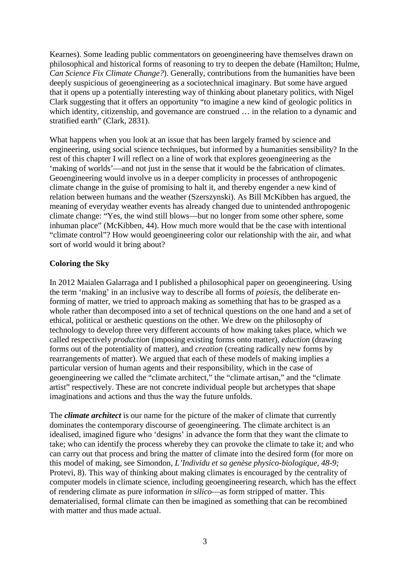[Kearnes\)](#page-7-12). Some leading public commentators on geoengineering have themselves drawn on philosophical and historical forms of reasoning to try to deepen the debate [\(Hamilton;](#page-7-3) [Hulme,](#page-7-13)  *[Can Science Fix Climate Change?](#page-7-13)*). Generally, contributions from the humanities have been deeply suspicious of geoengineering as a sociotechnical imaginary. But some have argued that it opens up a potentially interesting way of thinking about planetary politics, with Nigel Clark suggesting that it offers an opportunity "to imagine a new kind of geologic politics in which identity, citizenship, and governance are construed ... in the relation to a dynamic and stratified earth" [\(Clark, 2831\)](#page-7-14).

What happens when you look at an issue that has been largely framed by science and engineering, using social science techniques, but informed by a humanities sensibility? In the rest of this chapter I will reflect on a line of work that explores geoengineering as the 'making of worlds'—and not just in the sense that it would be the fabrication of climates. Geoengineering would involve us in a deeper complicity in processes of anthropogenic climate change in the guise of promising to halt it, and thereby engender a new kind of relation between humans and the weather [\(Szerszynski\)](#page-8-8). As Bill McKibben has argued, the meaning of everyday weather events has already changed due to unintended anthropogenic climate change: "Yes, the wind still blows—but no longer from some other sphere, some inhuman place" [\(McKibben, 44\)](#page-8-9). How much more would that be the case with intentional "climate control"? How would geoengineering color our relationship with the air, and what sort of world would it bring about?

# **Coloring the Sky**

In 2012 Maialen Galarraga and I published a philosophical paper on geoengineering. Using the term 'making' in an inclusive way to describe all forms of *poiesis*, the deliberate enforming of matter, we tried to approach making as something that has to be grasped as a whole rather than decomposed into a set of technical questions on the one hand and a set of ethical, political or aesthetic questions on the other. We drew on the philosophy of technology to develop three very different accounts of how making takes place, which we called respectively *production* (imposing existing forms onto matter), *eduction* (drawing forms out of the potentiality of matter), and *creation* (creating radically new forms by rearrangements of matter). We argued that each of these models of making implies a particular version of human agents and their responsibility, which in the case of geoengineering we called the "climate architect," the "climate artisan," and the "climate artist" respectively. These are not concrete individual people but archetypes that shape imaginations and actions and thus the way the future unfolds.

The *climate architect* is our name for the picture of the maker of climate that currently dominates the contemporary discourse of geoengineering. The climate architect is an idealised, imagined figure who 'designs' in advance the form that they want the climate to take; who can identify the process whereby they can provoke the climate to take it; and who can carry out that process and bring the matter of climate into the desired form (for more on this model of making, see Simondon, *[L'Individu et sa genèse physico-biologique, 48-9;](#page-8-10)*  [Protevi, 8\)](#page-8-11). This way of thinking about making climates is encouraged by the centrality of computer models in climate science, including geoengineering research, which has the effect of rendering climate as pure information *in silico*—as form stripped of matter. This dematerialised, formal climate can then be imagined as something that can be recombined with matter and thus made actual.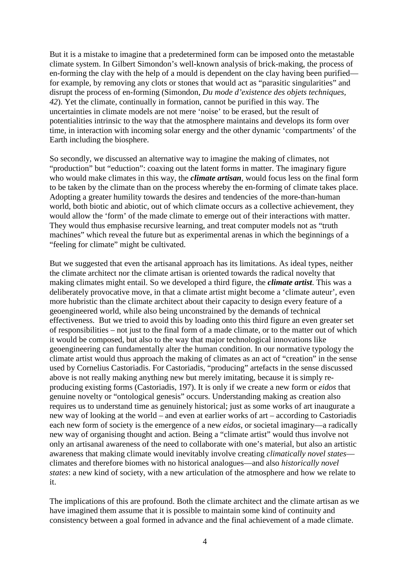But it is a mistake to imagine that a predetermined form can be imposed onto the metastable climate system. In Gilbert Simondon's well-known analysis of brick-making, the process of en-forming the clay with the help of a mould is dependent on the clay having been purified for example, by removing any clots or stones that would act as "parasitic singularities" and disrupt the process of en-forming (Simondon, *[Du mode d'existence des objets techniques,](#page-8-12)  [42](#page-8-12)*). Yet the climate, continually in formation, cannot be purified in this way. The uncertainties in climate models are not mere 'noise' to be erased, but the result of potentialities intrinsic to the way that the atmosphere maintains and develops its form over time, in interaction with incoming solar energy and the other dynamic 'compartments' of the Earth including the biosphere.

So secondly, we discussed an alternative way to imagine the making of climates, not "production" but "eduction": coaxing out the latent forms in matter. The imaginary figure who would make climates in this way, the *climate artisan*, would focus less on the final form to be taken by the climate than on the process whereby the en-forming of climate takes place. Adopting a greater humility towards the desires and tendencies of the more-than-human world, both biotic and abiotic, out of which climate occurs as a collective achievement, they would allow the 'form' of the made climate to emerge out of their interactions with matter. They would thus emphasise recursive learning, and treat computer models not as "truth machines" which reveal the future but as experimental arenas in which the beginnings of a "feeling for climate" might be cultivated.

But we suggested that even the artisanal approach has its limitations. As ideal types, neither the climate architect nor the climate artisan is oriented towards the radical novelty that making climates might entail. So we developed a third figure, the *climate artist*. This was a deliberately provocative move, in that a climate artist might become a 'climate auteur', even more hubristic than the climate architect about their capacity to design every feature of a geoengineered world, while also being unconstrained by the demands of technical effectiveness. But we tried to avoid this by loading onto this third figure an even greater set of responsibilities – not just to the final form of a made climate, or to the matter out of which it would be composed, but also to the way that major technological innovations like geoengineering can fundamentally alter the human condition. In our normative typology the climate artist would thus approach the making of climates as an act of "creation" in the sense used by Cornelius Castoriadis. For Castoriadis, "producing" artefacts in the sense discussed above is not really making anything new but merely imitating, because it is simply reproducing existing forms [\(Castoriadis, 197\)](#page-7-15). It is only if we create a new form or *eidos* that genuine novelty or "ontological genesis" occurs. Understanding making as creation also requires us to understand time as genuinely historical; just as some works of art inaugurate a new way of looking at the world – and even at earlier works of art – according to Castoriadis each new form of society is the emergence of a new *eidos*, or societal imaginary—a radically new way of organising thought and action. Being a "climate artist" would thus involve not only an artisanal awareness of the need to collaborate with one's material, but also an artistic awareness that making climate would inevitably involve creating *climatically novel states* climates and therefore biomes with no historical analogues—and also *historically novel states*: a new kind of society, with a new articulation of the atmosphere and how we relate to it.

The implications of this are profound. Both the climate architect and the climate artisan as we have imagined them assume that it is possible to maintain some kind of continuity and consistency between a goal formed in advance and the final achievement of a made climate.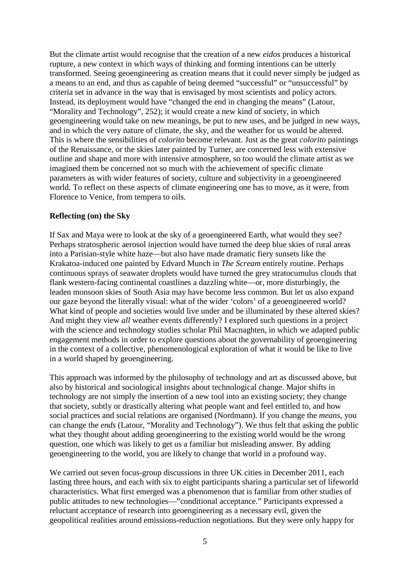But the climate artist would recognise that the creation of a new *eidos* produces a historical rupture, a new context in which ways of thinking and forming intentions can be utterly transformed. Seeing geoengineering as creation means that it could never simply be judged as a means to an end, and thus as capable of being deemed "successful" or "unsuccessful" by criteria set in advance in the way that is envisaged by most scientists and policy actors. Instead, its deployment would have "changed the end in changing the means" [\(Latour,](#page-8-13)  ["Morality and Technology", 252\)](#page-8-13); it would create a new kind of society, in which geoengineering would take on new meanings, be put to new uses, and be judged in new ways, and in which the very nature of climate, the sky, and the weather for us would be altered. This is where the sensibilities of *colorito* become relevant. Just as the great *colorito* paintings of the Renaissance, or the skies later painted by Turner, are concerned less with extensive outline and shape and more with intensive atmosphere, so too would the climate artist as we imagined them be concerned not so much with the achievement of specific climate parameters as with wider features of society, culture and subjectivity in a geoengineered world. To reflect on these aspects of climate engineering one has to move, as it were, from Florence to Venice, from tempera to oils.

## **Reflecting (on) the Sky**

If Sax and Maya were to look at the sky of a geoengineered Earth, what would they see? Perhaps stratospheric aerosol injection would have turned the deep blue skies of rural areas into a Parisian-style white haze—but also have made dramatic fiery sunsets like the Krakatoa-induced one painted by Edvard Munch in *The Scream* entirely routine. Perhaps continuous sprays of seawater droplets would have turned the grey stratocumulus clouds that flank western-facing continental coastlines a dazzling white—or, more disturbingly, the leaden monsoon skies of South Asia may have become less common. But let us also expand our gaze beyond the literally visual: what of the wider 'colors' of a geoengineered world? What kind of people and societies would live under and be illuminated by these altered skies? And might they view *all* weather events differently? I explored such questions in a project with the science and technology studies scholar Phil Macnaghten, in which we adapted public engagement methods in order to explore questions about the governability of geoengineering in the context of a collective, phenomenological exploration of what it would be like to live in a world shaped by geoengineering.

This approach was informed by the philosophy of technology and art as discussed above, but also by historical and sociological insights about technological change. Major shifts in technology are not simply the insertion of a new tool into an existing society; they change that society, subtly or drastically altering what people want and feel entitled to, and how social practices and social relations are organised [\(Nordmann\)](#page-8-14). If you change the *means*, you can change the *ends* [\(Latour, "Morality and Technology"\)](#page-8-13). We thus felt that asking the public what they thought about adding geoengineering to the existing world would be the wrong question, one which was likely to get us a familiar but misleading answer. By adding geoengineering to the world, you are likely to change that world in a profound way.

We carried out seven focus-group discussions in three UK cities in December 2011, each lasting three hours, and each with six to eight participants sharing a particular set of lifeworld characteristics. What first emerged was a phenomenon that is familiar from other studies of public attitudes to new technologies—"conditional acceptance." Participants expressed a reluctant acceptance of research into geoengineering as a necessary evil, given the geopolitical realities around emissions-reduction negotiations. But they were only happy for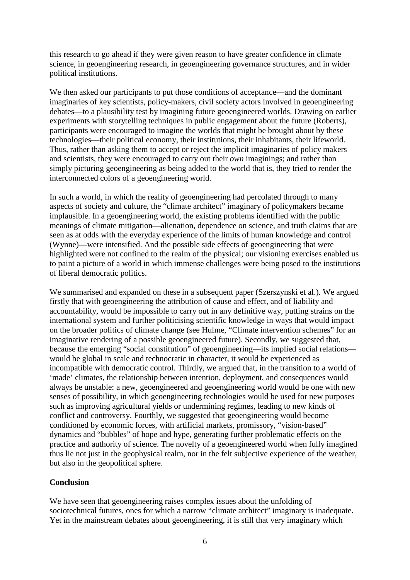this research to go ahead if they were given reason to have greater confidence in climate science, in geoengineering research, in geoengineering governance structures, and in wider political institutions.

We then asked our participants to put those conditions of acceptance—and the dominant imaginaries of key scientists, policy-makers, civil society actors involved in geoengineering debates—to a plausibility test by imagining future geoengineered worlds. Drawing on earlier experiments with storytelling techniques in public engagement about the future [\(Roberts\)](#page-8-15), participants were encouraged to imagine the worlds that might be brought about by these technologies—their political economy, their institutions, their inhabitants, their lifeworld. Thus, rather than asking them to accept or reject the implicit imaginaries of policy makers and scientists, they were encouraged to carry out their *own* imaginings; and rather than simply picturing geoengineering as being added to the world that is, they tried to render the interconnected colors of a geoengineering world.

In such a world, in which the reality of geoengineering had percolated through to many aspects of society and culture, the "climate architect" imaginary of policymakers became implausible. In a geoengineering world, the existing problems identified with the public meanings of climate mitigation—alienation, dependence on science, and truth claims that are seen as at odds with the everyday experience of the limits of human knowledge and control [\(Wynne\)](#page-8-16)—were intensified. And the possible side effects of geoengineering that were highlighted were not confined to the realm of the physical; our visioning exercises enabled us to paint a picture of a world in which immense challenges were being posed to the institutions of liberal democratic politics.

We summarised and expanded on these in a subsequent paper [\(Szerszynski et al.\)](#page-8-5). We argued firstly that with geoengineering the attribution of cause and effect, and of liability and accountability, would be impossible to carry out in any definitive way, putting strains on the international system and further politicising scientific knowledge in ways that would impact on the broader politics of climate change [\(see Hulme, "Climate intervention schemes" for an](#page-7-16)  [imaginative rendering of a possible geoengineered future\)](#page-7-16). Secondly, we suggested that, because the emerging "social constitution" of geoengineering—its implied social relations would be global in scale and technocratic in character, it would be experienced as incompatible with democratic control. Thirdly, we argued that, in the transition to a world of 'made' climates, the relationship between intention, deployment, and consequences would always be unstable: a new, geoengineered and geoengineering world would be one with new senses of possibility, in which geoengineering technologies would be used for new purposes such as improving agricultural yields or undermining regimes, leading to new kinds of conflict and controversy. Fourthly, we suggested that geoengineering would become conditioned by economic forces, with artificial markets, promissory, "vision-based" dynamics and "bubbles" of hope and hype, generating further problematic effects on the practice and authority of science. The novelty of a geoengineered world when fully imagined thus lie not just in the geophysical realm, nor in the felt subjective experience of the weather, but also in the geopolitical sphere.

## **Conclusion**

We have seen that geoengineering raises complex issues about the unfolding of sociotechnical futures, ones for which a narrow "climate architect" imaginary is inadequate. Yet in the mainstream debates about geoengineering, it is still that very imaginary which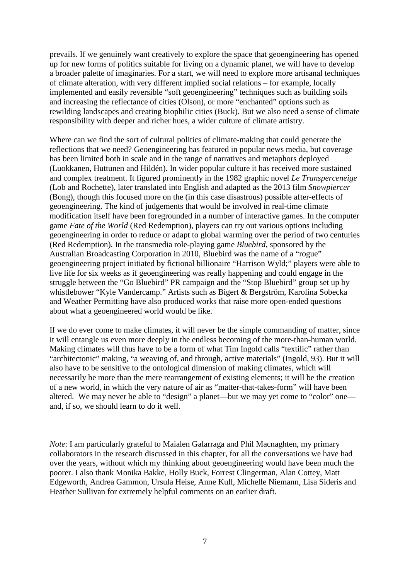prevails. If we genuinely want creatively to explore the space that geoengineering has opened up for new forms of politics suitable for living on a dynamic planet, we will have to develop a broader palette of imaginaries. For a start, we will need to explore more artisanal techniques of climate alteration, with very different implied social relations – for example, locally implemented and easily reversible "soft geoengineering" techniques such as building soils and increasing the reflectance of cities [\(Olson\)](#page-8-17), or more "enchanted" options such as rewilding landscapes and creating biophilic cities [\(Buck\)](#page-7-17). But we also need a sense of climate responsibility with deeper and richer hues, a wider culture of climate artistry.

Where can we find the sort of cultural politics of climate-making that could generate the reflections that we need? Geoengineering has featured in popular news media, but coverage has been limited both in scale and in the range of narratives and metaphors deployed [\(Luokkanen, Huttunen and Hildén\)](#page-8-18). In wider popular culture it has received more sustained and complex treatment. It figured prominently in the 1982 graphic novel *Le Transperceneige* [\(Lob and Rochette\)](#page-8-19), later translated into English and adapted as the 2013 film *Snowpiercer* [\(Bong\)](#page-7-18), though this focused more on the (in this case disastrous) possible after-effects of geoengineering. The kind of judgements that would be involved in real-time climate modification itself have been foregrounded in a number of interactive games. In the computer game *Fate of the World* [\(Red Redemption\)](#page-8-20), players can try out various options including geoengineering in order to reduce or adapt to global warming over the period of two centuries [\(Red Redemption\)](#page-8-20). In the transmedia role-playing game *Bluebird*, sponsored by the Australian Broadcasting Corporation in 2010, Bluebird was the name of a "rogue" geoengineering project initiated by fictional billionaire "Harrison Wyld;" players were able to live life for six weeks as if geoengineering was really happening and could engage in the struggle between the "Go Bluebird" PR campaign and the "Stop Bluebird" group set up by whistlebower "Kyle Vandercamp." Artists such as Bigert & Bergström, Karolina Sobecka and Weather Permitting have also produced works that raise more open-ended questions about what a geoengineered world would be like.

If we do ever come to make climates, it will never be the simple commanding of matter, since it will entangle us even more deeply in the endless becoming of the more-than-human world. Making climates will thus have to be a form of what Tim Ingold calls "textilic" rather than "architectonic" making, "a weaving of, and through, active materials" [\(Ingold, 93\)](#page-7-19). But it will also have to be sensitive to the ontological dimension of making climates, which will necessarily be more than the mere rearrangement of existing elements; it will be the creation of a new world, in which the very nature of air as "matter-that-takes-form" will have been altered. We may never be able to "design" a planet—but we may yet come to "color" one and, if so, we should learn to do it well.

*Note*: I am particularly grateful to Maialen Galarraga and Phil Macnaghten, my primary collaborators in the research discussed in this chapter, for all the conversations we have had over the years, without which my thinking about geoengineering would have been much the poorer. I also thank Monika Bakke, Holly Buck, Forrest Clingerman, Alan Cottey, Matt Edgeworth, Andrea Gammon, Ursula Heise, Anne Kull, Michelle Niemann, Lisa Sideris and Heather Sullivan for extremely helpful comments on an earlier draft.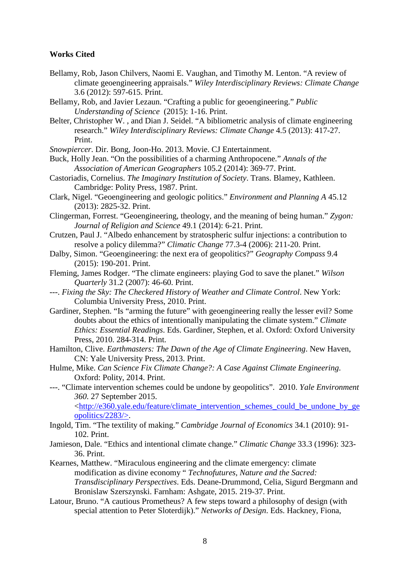### **Works Cited**

- <span id="page-7-6"></span>Bellamy, Rob, Jason Chilvers, Naomi E. Vaughan, and Timothy M. Lenton. "A review of climate geoengineering appraisals." *Wiley Interdisciplinary Reviews: Climate Change*  3.6 (2012): 597-615. Print.
- <span id="page-7-7"></span>Bellamy, Rob, and Javier Lezaun. "Crafting a public for geoengineering." *Public Understanding of Science* (2015): 1-16. Print.
- <span id="page-7-2"></span>Belter, Christopher W. , and Dian J. Seidel. "A bibliometric analysis of climate engineering research." *Wiley Interdisciplinary Reviews: Climate Change* 4.5 (2013): 417-27. Print.
- <span id="page-7-18"></span>*Snowpiercer*. Dir. Bong, Joon-Ho. 2013. Movie. CJ Entertainment.
- <span id="page-7-17"></span>Buck, Holly Jean. "On the possibilities of a charming Anthropocene." *Annals of the Association of American Geographers* 105.2 (2014): 369-77. Print.
- <span id="page-7-15"></span>Castoriadis, Cornelius. *The Imaginary Institution of Society*. Trans. Blamey, Kathleen. Cambridge: Polity Press, 1987. Print.
- <span id="page-7-14"></span>Clark, Nigel. "Geoengineering and geologic politics." *Environment and Planning A* 45.12 (2013): 2825-32. Print.
- <span id="page-7-11"></span>Clingerman, Forrest. "Geoengineering, theology, and the meaning of being human." *Zygon: Journal of Religion and Science* 49.1 (2014): 6-21. Print.
- <span id="page-7-1"></span>Crutzen, Paul J. "Albedo enhancement by stratospheric sulfur injections: a contribution to resolve a policy dilemma?" *Climatic Change* 77.3-4 (2006): 211-20. Print.
- <span id="page-7-10"></span>Dalby, Simon. "Geoengineering: the next era of geopolitics?" *Geography Compass* 9.4 (2015): 190-201. Print.
- <span id="page-7-4"></span>Fleming, James Rodger. "The climate engineers: playing God to save the planet." *Wilson Quarterly* 31.2 (2007): 46-60. Print.
- <span id="page-7-5"></span>---. *Fixing the Sky: The Checkered History of Weather and Climate Control*. New York: Columbia University Press, 2010. Print.
- <span id="page-7-9"></span>Gardiner, Stephen. "Is "arming the future" with geoengineering really the lesser evil? Some doubts about the ethics of intentionally manipulating the climate system." *Climate Ethics: Essential Readings*. Eds. Gardiner, Stephen, et al. Oxford: Oxford University Press, 2010. 284-314. Print.
- <span id="page-7-3"></span>Hamilton, Clive. *Earthmasters: The Dawn of the Age of Climate Engineering*. New Haven, CN: Yale University Press, 2013. Print.
- <span id="page-7-13"></span>Hulme, Mike. *Can Science Fix Climate Change?: A Case Against Climate Engineering*. Oxford: Polity, 2014. Print.
- <span id="page-7-16"></span>---. "Climate intervention schemes could be undone by geopolitics". 2010. *Yale Environment 360*. 27 September 2015.

[<http://e360.yale.edu/feature/climate\\_intervention\\_schemes\\_could\\_be\\_undone\\_by\\_ge](http://e360.yale.edu/feature/climate_intervention_schemes_could_be_undone_by_geopolitics/2283/%3e) [opolitics/2283/>.](http://e360.yale.edu/feature/climate_intervention_schemes_could_be_undone_by_geopolitics/2283/%3e)

- <span id="page-7-19"></span>Ingold, Tim. "The textility of making." *Cambridge Journal of Economics* 34.1 (2010): 91- 102. Print.
- <span id="page-7-8"></span>Jamieson, Dale. "Ethics and intentional climate change." *Climatic Change* 33.3 (1996): 323- 36. Print.
- <span id="page-7-12"></span>Kearnes, Matthew. "Miraculous engineering and the climate emergency: climate modification as divine economy " *Technofutures, Nature and the Sacred: Transdisciplinary Perspectives*. Eds. Deane-Drummond, Celia, Sigurd Bergmann and Bronislaw Szerszynski. Farnham: Ashgate, 2015. 219-37. Print.
- <span id="page-7-0"></span>Latour, Bruno. "A cautious Prometheus? A few steps toward a philosophy of design (with special attention to Peter Sloterdijk)." *Networks of Design*. Eds. Hackney, Fiona,